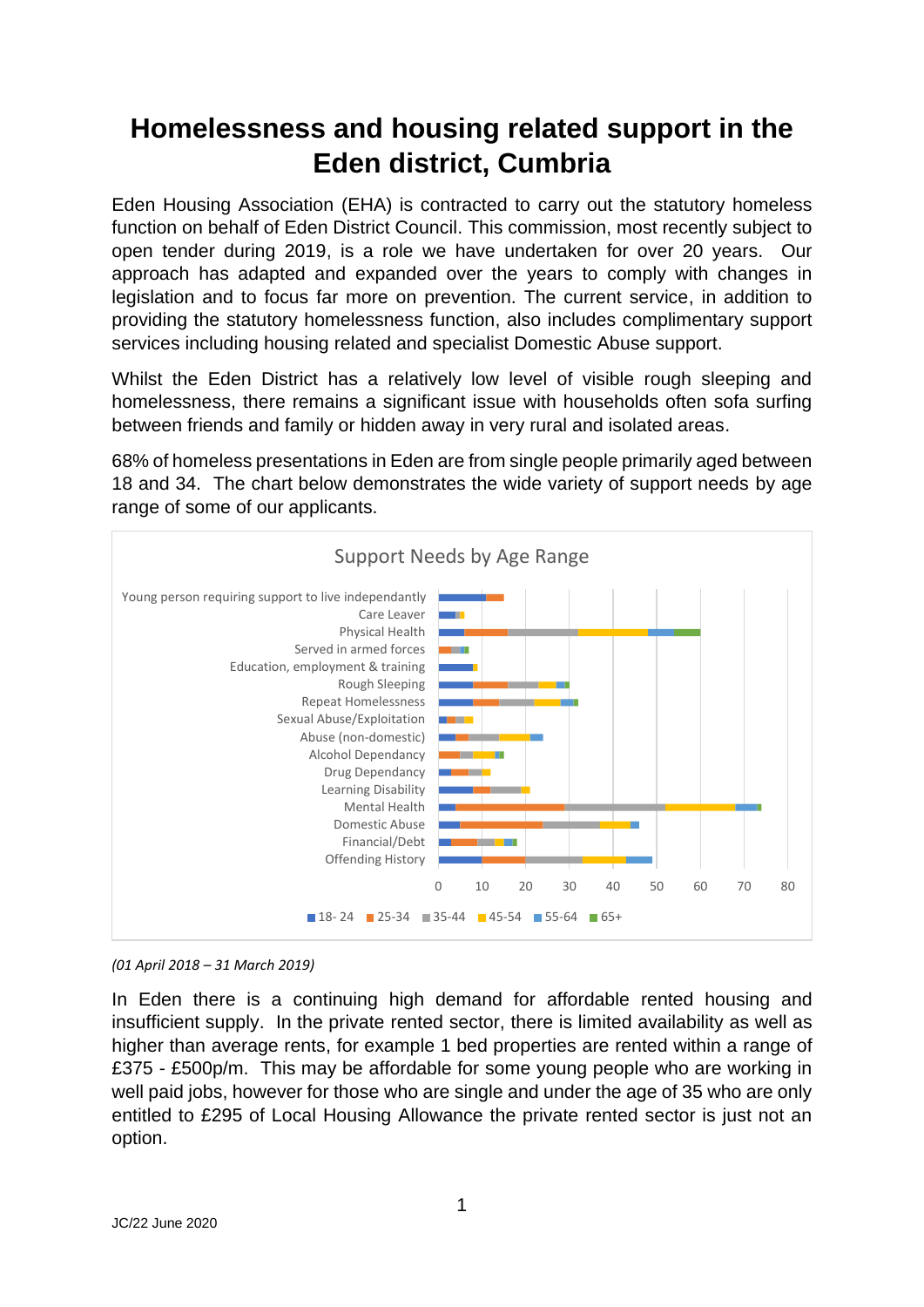## **Homelessness and housing related support in the Eden district, Cumbria**

Eden Housing Association (EHA) is contracted to carry out the statutory homeless function on behalf of Eden District Council. This commission, most recently subject to open tender during 2019, is a role we have undertaken for over 20 years. Our approach has adapted and expanded over the years to comply with changes in legislation and to focus far more on prevention. The current service, in addition to providing the statutory homelessness function, also includes complimentary support services including housing related and specialist Domestic Abuse support.

Whilst the Eden District has a relatively low level of visible rough sleeping and homelessness, there remains a significant issue with households often sofa surfing between friends and family or hidden away in very rural and isolated areas.

68% of homeless presentations in Eden are from single people primarily aged between 18 and 34. The chart below demonstrates the wide variety of support needs by age range of some of our applicants.



*(01 April 2018 – 31 March 2019)*

In Eden there is a continuing high demand for affordable rented housing and insufficient supply. In the private rented sector, there is limited availability as well as higher than average rents, for example 1 bed properties are rented within a range of £375 - £500p/m. This may be affordable for some young people who are working in well paid jobs, however for those who are single and under the age of 35 who are only entitled to £295 of Local Housing Allowance the private rented sector is just not an option.